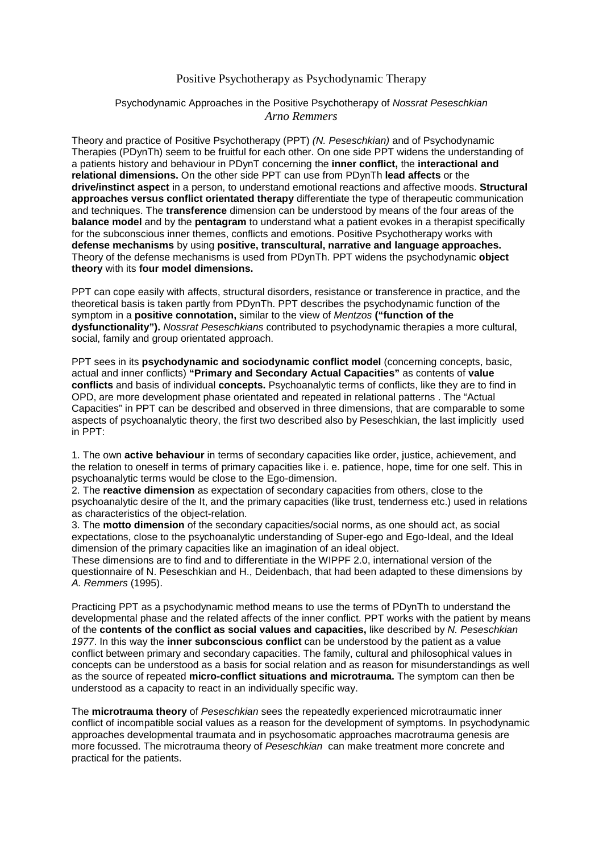## Positive Psychotherapy as Psychodynamic Therapy

## Psychodynamic Approaches in the Positive Psychotherapy of *Nossrat Peseschkian Arno Remmers*

Theory and practice of Positive Psychotherapy (PPT) *(N. Peseschkian)* and of Psychodynamic Therapies (PDynTh) seem to be fruitful for each other. On one side PPT widens the understanding of a patients history and behaviour in PDynT concerning the **inner conflict,** the **interactional and relational dimensions.** On the other side PPT can use from PDynTh **lead affects** or the **drive/instinct aspect** in a person, to understand emotional reactions and affective moods. **Structural approaches versus conflict orientated therapy** differentiate the type of therapeutic communication and techniques. The **transference** dimension can be understood by means of the four areas of the **balance model** and by the **pentagram** to understand what a patient evokes in a therapist specifically for the subconscious inner themes, conflicts and emotions. Positive Psychotherapy works with **defense mechanisms** by using **positive, transcultural, narrative and language approaches.**  Theory of the defense mechanisms is used from PDynTh. PPT widens the psychodynamic **object theory** with its **four model dimensions.**

PPT can cope easily with affects, structural disorders, resistance or transference in practice, and the theoretical basis is taken partly from PDynTh. PPT describes the psychodynamic function of the symptom in a **positive connotation,** similar to the view of *Mentzos* **("function of the dysfunctionality").** *Nossrat Peseschkians* contributed to psychodynamic therapies a more cultural, social, family and group orientated approach.

PPT sees in its **psychodynamic and sociodynamic conflict model** (concerning concepts, basic, actual and inner conflicts) **"Primary and Secondary Actual Capacities"** as contents of **value conflicts** and basis of individual **concepts.** Psychoanalytic terms of conflicts, like they are to find in OPD, are more development phase orientated and repeated in relational patterns . The "Actual Capacities" in PPT can be described and observed in three dimensions, that are comparable to some aspects of psychoanalytic theory, the first two described also by Peseschkian, the last implicitly used in PPT:

1. The own **active behaviour** in terms of secondary capacities like order, justice, achievement, and the relation to oneself in terms of primary capacities like i. e. patience, hope, time for one self. This in psychoanalytic terms would be close to the Ego-dimension.

2. The **reactive dimension** as expectation of secondary capacities from others, close to the psychoanalytic desire of the It, and the primary capacities (like trust, tenderness etc.) used in relations as characteristics of the object-relation.

3. The **motto dimension** of the secondary capacities/social norms, as one should act, as social expectations, close to the psychoanalytic understanding of Super-ego and Ego-Ideal, and the Ideal dimension of the primary capacities like an imagination of an ideal object.

These dimensions are to find and to differentiate in the WIPPF 2.0, international version of the questionnaire of N. Peseschkian and H., Deidenbach, that had been adapted to these dimensions by *A. Remmers* (1995).

Practicing PPT as a psychodynamic method means to use the terms of PDynTh to understand the developmental phase and the related affects of the inner conflict. PPT works with the patient by means of the **contents of the conflict as social values and capacities,** like described by *N. Peseschkian 1977*. In this way the **inner subconscious conflict** can be understood by the patient as a value conflict between primary and secondary capacities. The family, cultural and philosophical values in concepts can be understood as a basis for social relation and as reason for misunderstandings as well as the source of repeated **micro-conflict situations and microtrauma.** The symptom can then be understood as a capacity to react in an individually specific way.

The **microtrauma theory** of *Peseschkian* sees the repeatedly experienced microtraumatic inner conflict of incompatible social values as a reason for the development of symptoms. In psychodynamic approaches developmental traumata and in psychosomatic approaches macrotrauma genesis are more focussed. The microtrauma theory of *Peseschkian* can make treatment more concrete and practical for the patients.